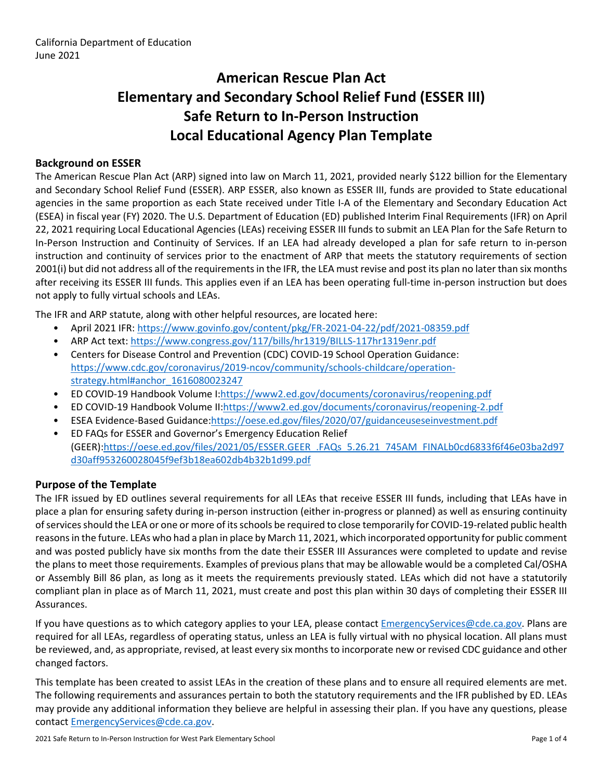# **American Rescue Plan Act Elementary and Secondary School Relief Fund (ESSER III) Safe Return to In-Person Instruction Local Educational Agency Plan Template**

### **Background on ESSER**

The American Rescue Plan Act (ARP) signed into law on March 11, 2021, provided nearly \$122 billion for the Elementary and Secondary School Relief Fund (ESSER). ARP ESSER, also known as ESSER III, funds are provided to State educational agencies in the same proportion as each State received under Title I-A of the Elementary and Secondary Education Act (ESEA) in fiscal year (FY) 2020. The U.S. Department of Education (ED) published Interim Final Requirements (IFR) on April 22, 2021 requiring Local Educational Agencies (LEAs) receiving ESSER III funds to submit an LEA Plan for the Safe Return to In-Person Instruction and Continuity of Services. If an LEA had already developed a plan for safe return to in-person instruction and continuity of services prior to the enactment of ARP that meets the statutory requirements of section 2001(i) but did not address all of the requirements in the IFR, the LEA must revise and post its plan no later than six months after receiving its ESSER III funds. This applies even if an LEA has been operating full-time in-person instruction but does not apply to fully virtual schools and LEAs.

The IFR and ARP statute, along with other helpful resources, are located here:

- April 2021 IFR: <https://www.govinfo.gov/content/pkg/FR-2021-04-22/pdf/2021-08359.pdf>
- ARP Act text: <https://www.congress.gov/117/bills/hr1319/BILLS-117hr1319enr.pdf>
- Centers for Disease Control and Prevention (CDC) COVID-19 School Operation Guidance: [https://www.cdc.gov/coronavirus/2019-ncov/community/schools-childcare/operation](https://www.cdc.gov/coronavirus/2019-ncov/community/schools-childcare/operation-strategy.html#anchor_1616080023247)[strategy.html#anchor\\_1616080023247](https://www.cdc.gov/coronavirus/2019-ncov/community/schools-childcare/operation-strategy.html#anchor_1616080023247)
- ED COVID-19 Handbook Volume I:[https://www2.ed.gov/documents/coronavirus/reopening.pdf](https://www2.ed.gov/documents/coronavirus/reopening.pdf%20)
- ED COVID-19 Handbook Volume II:<https://www2.ed.gov/documents/coronavirus/reopening-2.pdf>
- ESEA Evidence-Based Guidance[:https://oese.ed.gov/files/2020/07/guidanceuseseinvestment.pdf](https://oese.ed.gov/files/2020/07/guidanceuseseinvestment.pdf)
- ED FAQs for ESSER and Governor's Emergency Education Relief (GEER)[:https://oese.ed.gov/files/2021/05/ESSER.GEER\\_.FAQs\\_5.26.21\\_745AM\\_FINALb0cd6833f6f46e03ba2d97](https://oese.ed.gov/files/2021/05/ESSER.GEER_.FAQs_5.26.21_745AM_FINALb0cd6833f6f46e03ba2d97d30aff953260028045f9ef3b18ea602db4b32b1d99.pdf) [d30aff953260028045f9ef3b18ea602db4b32b1d99.pdf](https://oese.ed.gov/files/2021/05/ESSER.GEER_.FAQs_5.26.21_745AM_FINALb0cd6833f6f46e03ba2d97d30aff953260028045f9ef3b18ea602db4b32b1d99.pdf)

### **Purpose of the Template**

The IFR issued by ED outlines several requirements for all LEAs that receive ESSER III funds, including that LEAs have in place a plan for ensuring safety during in-person instruction (either in-progress or planned) as well as ensuring continuity ofservicesshould the LEA or one or more of itsschools be required to close temporarily for COVID-19-related public health reasons in the future. LEAs who had a plan in place by March 11, 2021, which incorporated opportunity for public comment and was posted publicly have six months from the date their ESSER III Assurances were completed to update and revise the plans to meet those requirements. Examples of previous plans that may be allowable would be a completed Cal/OSHA or Assembly Bill 86 plan, as long as it meets the requirements previously stated. LEAs which did not have a statutorily compliant plan in place as of March 11, 2021, must create and post this plan within 30 days of completing their ESSER III Assurances.

If you have questions as to which category applies to your LEA, please contact [EmergencyServices@cde.ca.gov.](mailto:EmergencyServices@cde.ca.gov) Plans are required for all LEAs, regardless of operating status, unless an LEA is fully virtual with no physical location. All plans must be reviewed, and, as appropriate, revised, at least every six monthsto incorporate new or revised CDC guidance and other changed factors.

This template has been created to assist LEAs in the creation of these plans and to ensure all required elements are met. The following requirements and assurances pertain to both the statutory requirements and the IFR published by ED. LEAs may provide any additional information they believe are helpful in assessing their plan. If you have any questions, please contact [EmergencyServices@cde.ca.gov.](mailto:EmergencyServices@cde.ca.gov)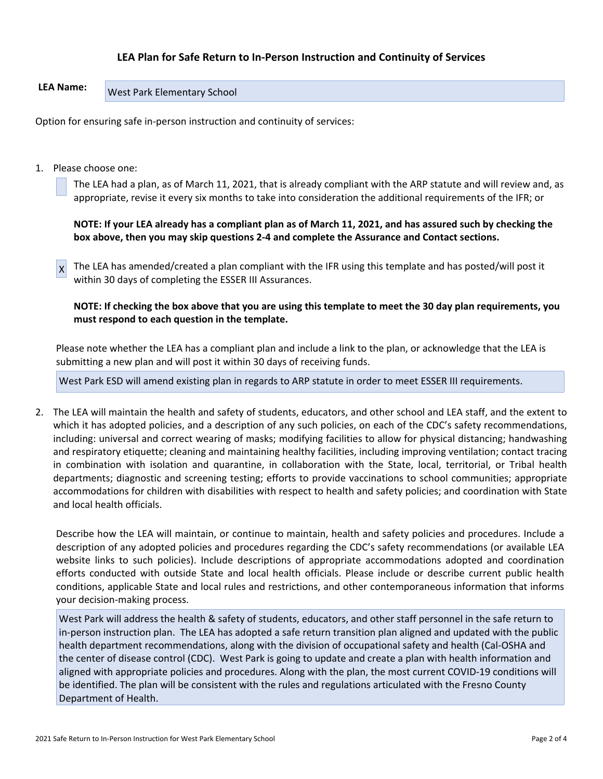### **LEA Plan for Safe Return to In-Person Instruction and Continuity of Services**

## **LEA Name:** West Park Elementary School

Option for ensuring safe in-person instruction and continuity of services:

1. Please choose one:

The LEA had a plan, as of March 11, 2021, that is already compliant with the ARP statute and will review and, as appropriate, revise it every six months to take into consideration the additional requirements of the IFR; or

NOTE: If your LEA already has a compliant plan as of March 11, 2021, and has assured such by checking the **box above, then you may skip questions 2-4 and complete the Assurance and Contact sections.**

X The LEA has amended/created a plan compliant with the IFR using this template and has posted/will post it within 30 days of completing the ESSER III Assurances.

NOTE: If checking the box above that you are using this template to meet the 30 day plan requirements, you **must respond to each question in the template.**

Please note whether the LEA has a compliant plan and include a link to the plan, or acknowledge that the LEA is submitting a new plan and will post it within 30 days of receiving funds.

West Park ESD will amend existing plan in regards to ARP statute in order to meet ESSER III requirements.

2. The LEA will maintain the health and safety of students, educators, and other school and LEA staff, and the extent to which it has adopted policies, and a description of any such policies, on each of the CDC's safety recommendations, including: universal and correct wearing of masks; modifying facilities to allow for physical distancing; handwashing and respiratory etiquette; cleaning and maintaining healthy facilities, including improving ventilation; contact tracing in combination with isolation and quarantine, in collaboration with the State, local, territorial, or Tribal health departments; diagnostic and screening testing; efforts to provide vaccinations to school communities; appropriate accommodations for children with disabilities with respect to health and safety policies; and coordination with State and local health officials.

Describe how the LEA will maintain, or continue to maintain, health and safety policies and procedures. Include a description of any adopted policies and procedures regarding the CDC's safety recommendations (or available LEA website links to such policies). Include descriptions of appropriate accommodations adopted and coordination efforts conducted with outside State and local health officials. Please include or describe current public health conditions, applicable State and local rules and restrictions, and other contemporaneous information that informs your decision-making process.

West Park will address the health & safety of students, educators, and other staff personnel in the safe return to in-person instruction plan. The LEA has adopted a safe return transition plan aligned and updated with the public health department recommendations, along with the division of occupational safety and health (Cal-OSHA and the center of disease control (CDC). West Park is going to update and create a plan with health information and aligned with appropriate policies and procedures. Along with the plan, the most current COVID-19 conditions will be identified. The plan will be consistent with the rules and regulations articulated with the Fresno County Department of Health.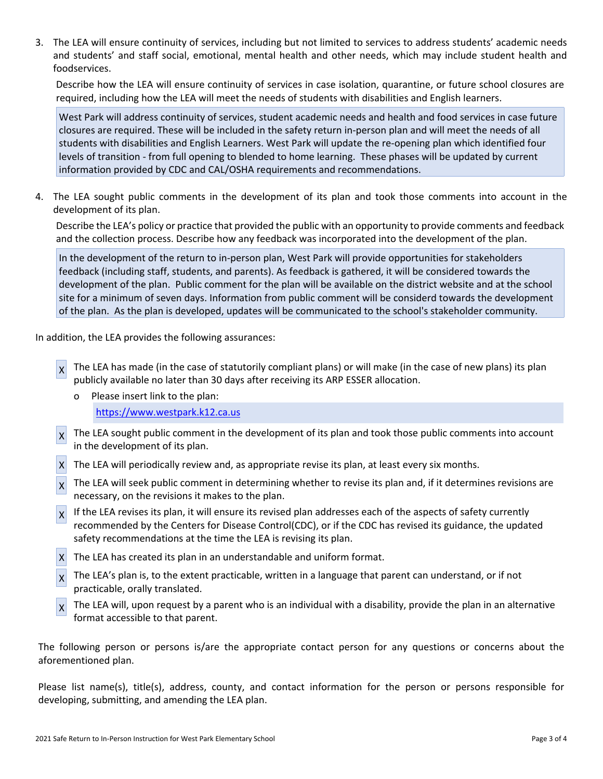3. The LEA will ensure continuity of services, including but not limited to services to address students' academic needs and students' and staff social, emotional, mental health and other needs, which may include student health and foodservices.

Describe how the LEA will ensure continuity of services in case isolation, quarantine, or future school closures are required, including how the LEA will meet the needs of students with disabilities and English learners.

West Park will address continuity of services, student academic needs and health and food services in case future closures are required. These will be included in the safety return in-person plan and will meet the needs of all students with disabilities and English Learners. West Park will update the re-opening plan which identified four levels of transition - from full opening to blended to home learning. These phases will be updated by current information provided by CDC and CAL/OSHA requirements and recommendations.

4. The LEA sought public comments in the development of its plan and took those comments into account in the development of its plan.

Describe the LEA's policy or practice that provided the public with an opportunity to provide comments and feedback and the collection process. Describe how any feedback was incorporated into the development of the plan.

In the development of the return to in-person plan, West Park will provide opportunities for stakeholders feedback (including staff, students, and parents). As feedback is gathered, it will be considered towards the development of the plan. Public comment for the plan will be available on the district website and at the school site for a minimum of seven days. Information from public comment will be considerd towards the development of the plan. As the plan is developed, updates will be communicated to the school's stakeholder community.

In addition, the LEA provides the following assurances:

- X The LEA has made (in the case of statutorily compliant plans) or will make (in the case of new plans) its plan publicly available no later than 30 days after receiving its ARP ESSER allocation.
	- o Please insert link to the plan: [https://www.westpark.k12.ca.us](https://www.westpark.k12.ca.us/)
- X The LEA sought public comment in the development of its plan and took those public comments into account in the development of its plan.
- X The LEA will periodically review and, as appropriate revise its plan, at least every six months.
- X The LEA will seek public comment in determining whether to revise its plan and, if it determines revisions are necessary, on the revisions it makes to the plan.
- $\chi$  If the LEA revises its plan, it will ensure its revised plan addresses each of the aspects of safety currently recommended by the Centers for Disease Control(CDC), or if the CDC has revised its guidance, the updated safety recommendations at the time the LEA is revising its plan.
- $X$  The LEA has created its plan in an understandable and uniform format.
- $\chi$  The LEA's plan is, to the extent practicable, written in a language that parent can understand, or if not practicable, orally translated.
- X The LEA will, upon request by a parent who is an individual with a disability, provide the plan in an alternative format accessible to that parent.

The following person or persons is/are the appropriate contact person for any questions or concerns about the aforementioned plan.

Please list name(s), title(s), address, county, and contact information for the person or persons responsible for developing, submitting, and amending the LEA plan.